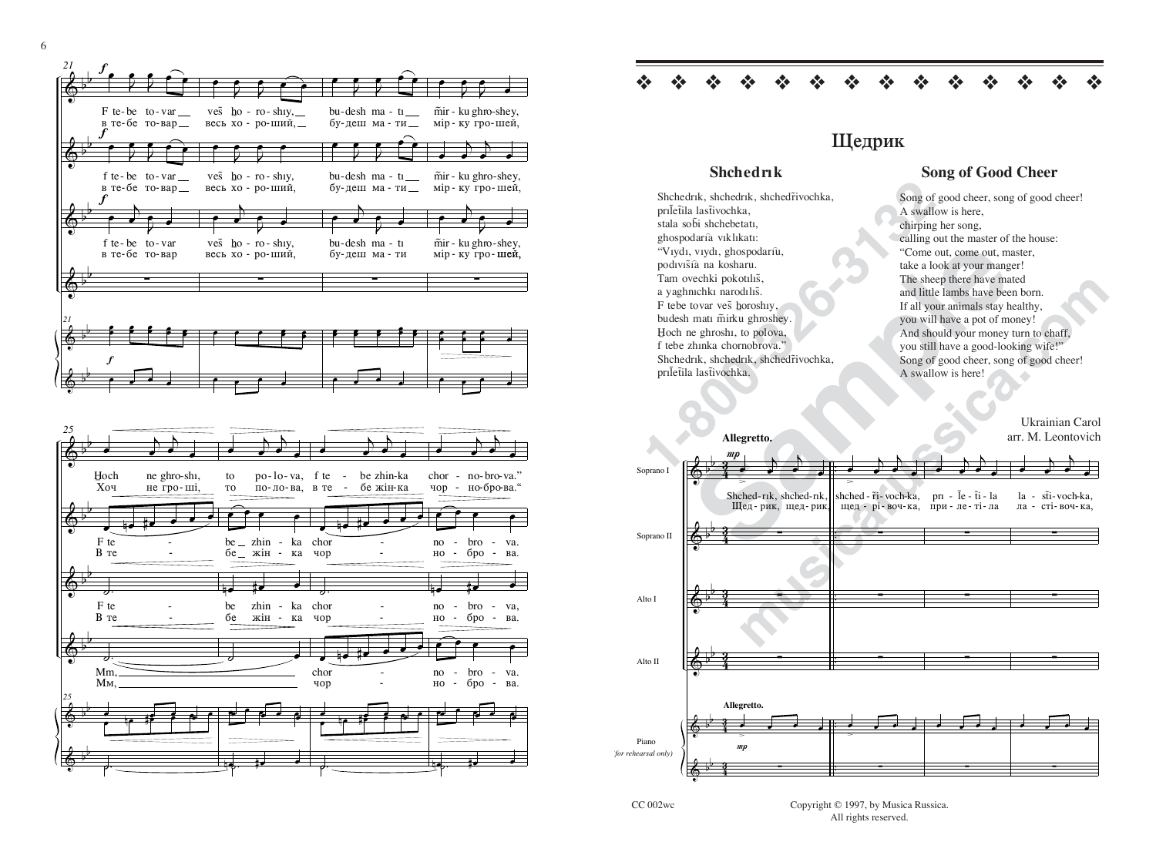

## Щедрик

## **Shchedrik**

Shchedrik, shchedrik, shchedrivochka, priletila lastivochka, stala sobi shchebetati. ghospodaría viklikati: "Vıydı, vıydı, ghospodarıù, podivišià na kosharu. Tam ovechki pokotılıs, a yaghnıchkı narodılıs. F tebe tovar ves horoshiy, budesh matı mirku ghroshey. Hoch ne ghroshi, to polova, f tebe zhinka chornobrova.' Shchedrik, shchedrik, shchedrivochka, priletila lastivochka.

## **Song of Good Cheer**

Song of good cheer, song of good cheer! A swallow is here, chirping her song, calling out the master of the house: "Come out, come out, master, take a look at your manger! The sheep there have mated and little lambs have been born. If all your animals stay healthy. you will have a pot of money! And should your money turn to chaff, you still have a good-looking wife!" Song of good cheer, song of good cheer! A swallow is here!

> Ukrainian Carol arr. M. Leontovich



Copyright © 1997, by Musica Russica. All rights reserved.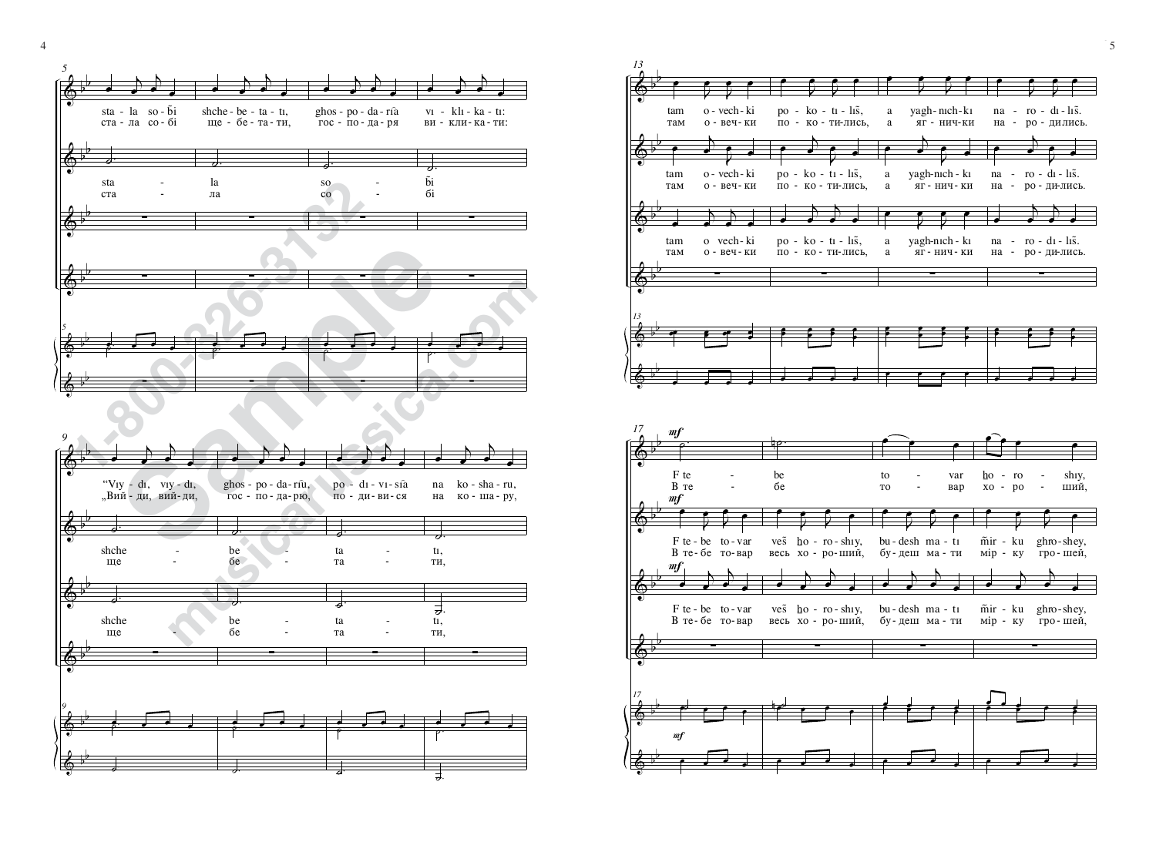

4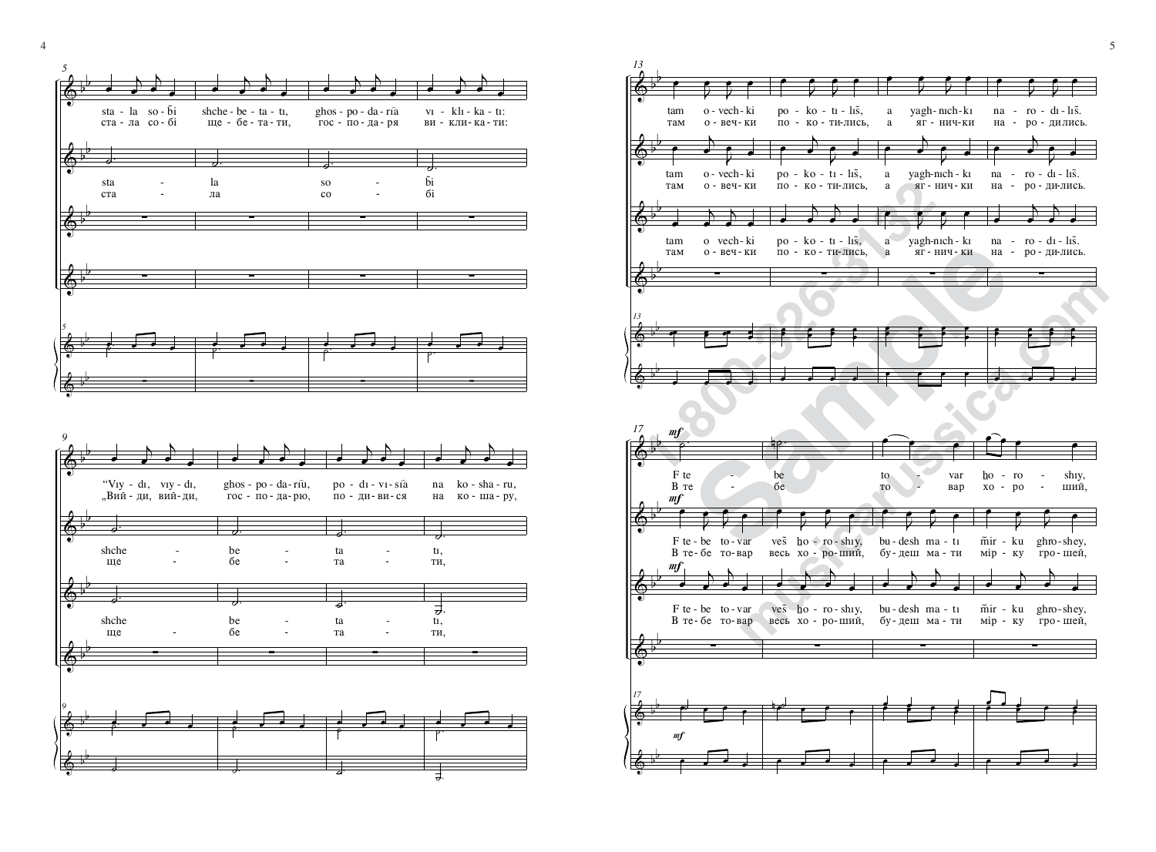